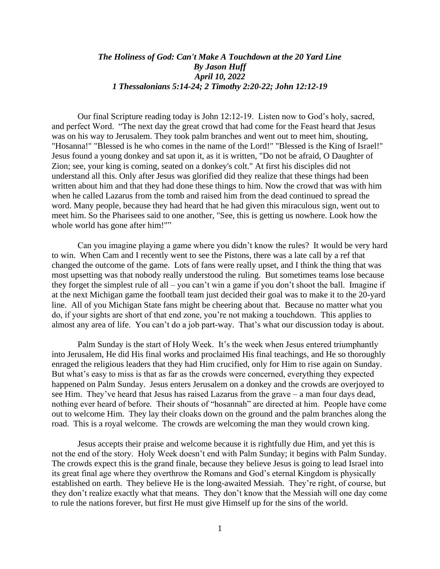## *The Holiness of God: Can't Make A Touchdown at the 20 Yard Line By Jason Huff April 10, 2022 1 Thessalonians 5:14-24; 2 Timothy 2:20-22; John 12:12-19*

Our final Scripture reading today is John 12:12-19. Listen now to God's holy, sacred, and perfect Word. "The next day the great crowd that had come for the Feast heard that Jesus was on his way to Jerusalem. They took palm branches and went out to meet him, shouting, "Hosanna!" "Blessed is he who comes in the name of the Lord!" "Blessed is the King of Israel!" Jesus found a young donkey and sat upon it, as it is written, "Do not be afraid, O Daughter of Zion; see, your king is coming, seated on a donkey's colt." At first his disciples did not understand all this. Only after Jesus was glorified did they realize that these things had been written about him and that they had done these things to him. Now the crowd that was with him when he called Lazarus from the tomb and raised him from the dead continued to spread the word. Many people, because they had heard that he had given this miraculous sign, went out to meet him. So the Pharisees said to one another, "See, this is getting us nowhere. Look how the whole world has gone after him!""

Can you imagine playing a game where you didn't know the rules? It would be very hard to win. When Cam and I recently went to see the Pistons, there was a late call by a ref that changed the outcome of the game. Lots of fans were really upset, and I think the thing that was most upsetting was that nobody really understood the ruling. But sometimes teams lose because they forget the simplest rule of all – you can't win a game if you don't shoot the ball. Imagine if at the next Michigan game the football team just decided their goal was to make it to the 20-yard line. All of you Michigan State fans might be cheering about that. Because no matter what you do, if your sights are short of that end zone, you're not making a touchdown. This applies to almost any area of life. You can't do a job part-way. That's what our discussion today is about.

Palm Sunday is the start of Holy Week. It's the week when Jesus entered triumphantly into Jerusalem, He did His final works and proclaimed His final teachings, and He so thoroughly enraged the religious leaders that they had Him crucified, only for Him to rise again on Sunday. But what's easy to miss is that as far as the crowds were concerned, everything they expected happened on Palm Sunday. Jesus enters Jerusalem on a donkey and the crowds are overjoyed to see Him. They've heard that Jesus has raised Lazarus from the grave – a man four days dead, nothing ever heard of before. Their shouts of "hosannah" are directed at him. People have come out to welcome Him. They lay their cloaks down on the ground and the palm branches along the road. This is a royal welcome. The crowds are welcoming the man they would crown king.

Jesus accepts their praise and welcome because it is rightfully due Him, and yet this is not the end of the story. Holy Week doesn't end with Palm Sunday; it begins with Palm Sunday. The crowds expect this is the grand finale, because they believe Jesus is going to lead Israel into its great final age where they overthrow the Romans and God's eternal Kingdom is physically established on earth. They believe He is the long-awaited Messiah. They're right, of course, but they don't realize exactly what that means. They don't know that the Messiah will one day come to rule the nations forever, but first He must give Himself up for the sins of the world.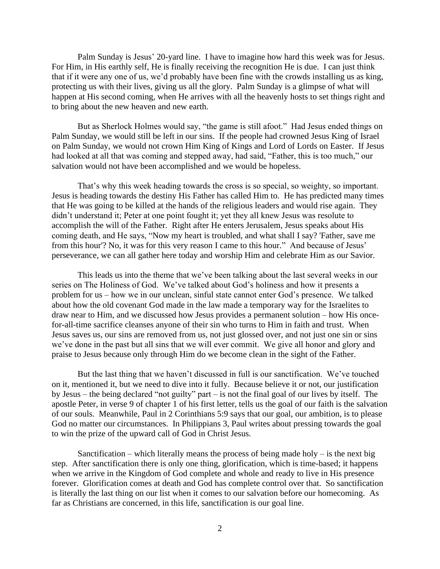Palm Sunday is Jesus' 20-yard line. I have to imagine how hard this week was for Jesus. For Him, in His earthly self, He is finally receiving the recognition He is due. I can just think that if it were any one of us, we'd probably have been fine with the crowds installing us as king, protecting us with their lives, giving us all the glory. Palm Sunday is a glimpse of what will happen at His second coming, when He arrives with all the heavenly hosts to set things right and to bring about the new heaven and new earth.

But as Sherlock Holmes would say, "the game is still afoot." Had Jesus ended things on Palm Sunday, we would still be left in our sins. If the people had crowned Jesus King of Israel on Palm Sunday, we would not crown Him King of Kings and Lord of Lords on Easter. If Jesus had looked at all that was coming and stepped away, had said, "Father, this is too much," our salvation would not have been accomplished and we would be hopeless.

That's why this week heading towards the cross is so special, so weighty, so important. Jesus is heading towards the destiny His Father has called Him to. He has predicted many times that He was going to be killed at the hands of the religious leaders and would rise again. They didn't understand it; Peter at one point fought it; yet they all knew Jesus was resolute to accomplish the will of the Father. Right after He enters Jerusalem, Jesus speaks about His coming death, and He says, "Now my heart is troubled, and what shall I say? 'Father, save me from this hour'? No, it was for this very reason I came to this hour." And because of Jesus' perseverance, we can all gather here today and worship Him and celebrate Him as our Savior.

This leads us into the theme that we've been talking about the last several weeks in our series on The Holiness of God. We've talked about God's holiness and how it presents a problem for us – how we in our unclean, sinful state cannot enter God's presence. We talked about how the old covenant God made in the law made a temporary way for the Israelites to draw near to Him, and we discussed how Jesus provides a permanent solution – how His oncefor-all-time sacrifice cleanses anyone of their sin who turns to Him in faith and trust. When Jesus saves us, our sins are removed from us, not just glossed over, and not just one sin or sins we've done in the past but all sins that we will ever commit. We give all honor and glory and praise to Jesus because only through Him do we become clean in the sight of the Father.

But the last thing that we haven't discussed in full is our sanctification. We've touched on it, mentioned it, but we need to dive into it fully. Because believe it or not, our justification by Jesus – the being declared "not guilty" part – is not the final goal of our lives by itself. The apostle Peter, in verse 9 of chapter 1 of his first letter, tells us the goal of our faith is the salvation of our souls. Meanwhile, Paul in 2 Corinthians 5:9 says that our goal, our ambition, is to please God no matter our circumstances. In Philippians 3, Paul writes about pressing towards the goal to win the prize of the upward call of God in Christ Jesus.

Sanctification – which literally means the process of being made holy – is the next big step. After sanctification there is only one thing, glorification, which is time-based; it happens when we arrive in the Kingdom of God complete and whole and ready to live in His presence forever. Glorification comes at death and God has complete control over that. So sanctification is literally the last thing on our list when it comes to our salvation before our homecoming. As far as Christians are concerned, in this life, sanctification is our goal line.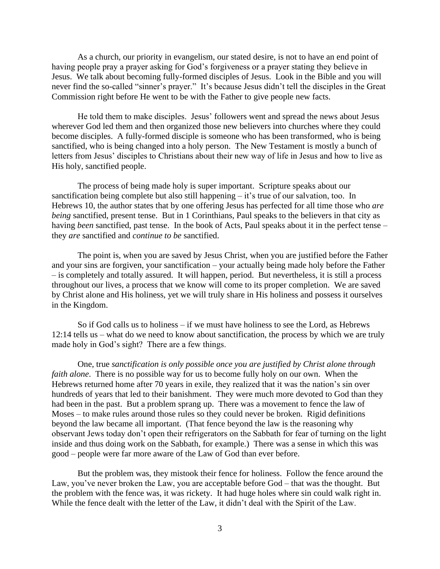As a church, our priority in evangelism, our stated desire, is not to have an end point of having people pray a prayer asking for God's forgiveness or a prayer stating they believe in Jesus. We talk about becoming fully-formed disciples of Jesus. Look in the Bible and you will never find the so-called "sinner's prayer." It's because Jesus didn't tell the disciples in the Great Commission right before He went to be with the Father to give people new facts.

He told them to make disciples. Jesus' followers went and spread the news about Jesus wherever God led them and then organized those new believers into churches where they could become disciples. A fully-formed disciple is someone who has been transformed, who is being sanctified, who is being changed into a holy person. The New Testament is mostly a bunch of letters from Jesus' disciples to Christians about their new way of life in Jesus and how to live as His holy, sanctified people.

The process of being made holy is super important. Scripture speaks about our sanctification being complete but also still happening – it's true of our salvation, too. In Hebrews 10, the author states that by one offering Jesus has perfected for all time those who *are being* sanctified, present tense. But in 1 Corinthians, Paul speaks to the believers in that city as having *been* sanctified, past tense. In the book of Acts, Paul speaks about it in the perfect tense – they *are* sanctified and *continue to be* sanctified.

The point is, when you are saved by Jesus Christ, when you are justified before the Father and your sins are forgiven, your sanctification – your actually being made holy before the Father – is completely and totally assured. It will happen, period. But nevertheless, it is still a process throughout our lives, a process that we know will come to its proper completion. We are saved by Christ alone and His holiness, yet we will truly share in His holiness and possess it ourselves in the Kingdom.

So if God calls us to holiness – if we must have holiness to see the Lord, as Hebrews 12:14 tells us – what do we need to know about sanctification, the process by which we are truly made holy in God's sight? There are a few things.

One, true *sanctification is only possible once you are justified by Christ alone through faith alone*. There is no possible way for us to become fully holy on our own. When the Hebrews returned home after 70 years in exile, they realized that it was the nation's sin over hundreds of years that led to their banishment. They were much more devoted to God than they had been in the past. But a problem sprang up. There was a movement to fence the law of Moses – to make rules around those rules so they could never be broken. Rigid definitions beyond the law became all important. (That fence beyond the law is the reasoning why observant Jews today don't open their refrigerators on the Sabbath for fear of turning on the light inside and thus doing work on the Sabbath, for example.) There was a sense in which this was good – people were far more aware of the Law of God than ever before.

But the problem was, they mistook their fence for holiness. Follow the fence around the Law, you've never broken the Law, you are acceptable before God – that was the thought. But the problem with the fence was, it was rickety. It had huge holes where sin could walk right in. While the fence dealt with the letter of the Law, it didn't deal with the Spirit of the Law.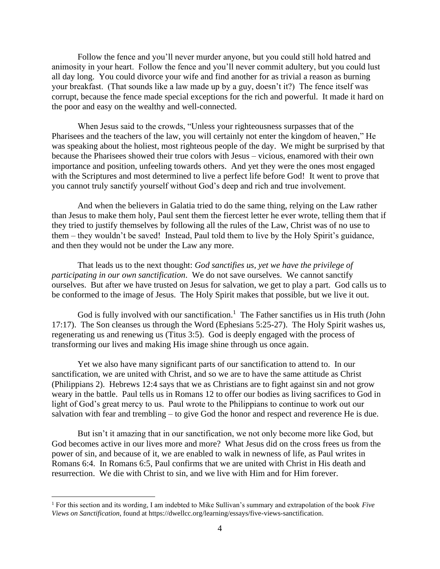Follow the fence and you'll never murder anyone, but you could still hold hatred and animosity in your heart. Follow the fence and you'll never commit adultery, but you could lust all day long. You could divorce your wife and find another for as trivial a reason as burning your breakfast. (That sounds like a law made up by a guy, doesn't it?) The fence itself was corrupt, because the fence made special exceptions for the rich and powerful. It made it hard on the poor and easy on the wealthy and well-connected.

When Jesus said to the crowds, "Unless your righteousness surpasses that of the Pharisees and the teachers of the law, you will certainly not enter the kingdom of heaven," He was speaking about the holiest, most righteous people of the day. We might be surprised by that because the Pharisees showed their true colors with Jesus – vicious, enamored with their own importance and position, unfeeling towards others. And yet they were the ones most engaged with the Scriptures and most determined to live a perfect life before God! It went to prove that you cannot truly sanctify yourself without God's deep and rich and true involvement.

And when the believers in Galatia tried to do the same thing, relying on the Law rather than Jesus to make them holy, Paul sent them the fiercest letter he ever wrote, telling them that if they tried to justify themselves by following all the rules of the Law, Christ was of no use to them – they wouldn't be saved! Instead, Paul told them to live by the Holy Spirit's guidance, and then they would not be under the Law any more.

That leads us to the next thought: *God sanctifies us, yet we have the privilege of participating in our own sanctification*. We do not save ourselves. We cannot sanctify ourselves. But after we have trusted on Jesus for salvation, we get to play a part. God calls us to be conformed to the image of Jesus. The Holy Spirit makes that possible, but we live it out.

God is fully involved with our sanctification.<sup>1</sup> The Father sanctifies us in His truth (John 17:17). The Son cleanses us through the Word (Ephesians 5:25-27). The Holy Spirit washes us, regenerating us and renewing us (Titus 3:5). God is deeply engaged with the process of transforming our lives and making His image shine through us once again.

Yet we also have many significant parts of our sanctification to attend to. In our sanctification, we are united with Christ, and so we are to have the same attitude as Christ (Philippians 2). Hebrews 12:4 says that we as Christians are to fight against sin and not grow weary in the battle. Paul tells us in Romans 12 to offer our bodies as living sacrifices to God in light of God's great mercy to us. Paul wrote to the Philippians to continue to work out our salvation with fear and trembling – to give God the honor and respect and reverence He is due.

But isn't it amazing that in our sanctification, we not only become more like God, but God becomes active in our lives more and more? What Jesus did on the cross frees us from the power of sin, and because of it, we are enabled to walk in newness of life, as Paul writes in Romans 6:4. In Romans 6:5, Paul confirms that we are united with Christ in His death and resurrection. We die with Christ to sin, and we live with Him and for Him forever.

<sup>1</sup> For this section and its wording, I am indebted to Mike Sullivan's summary and extrapolation of the book *Five Views on Sanctification*, found at https://dwellcc.org/learning/essays/five-views-sanctification.